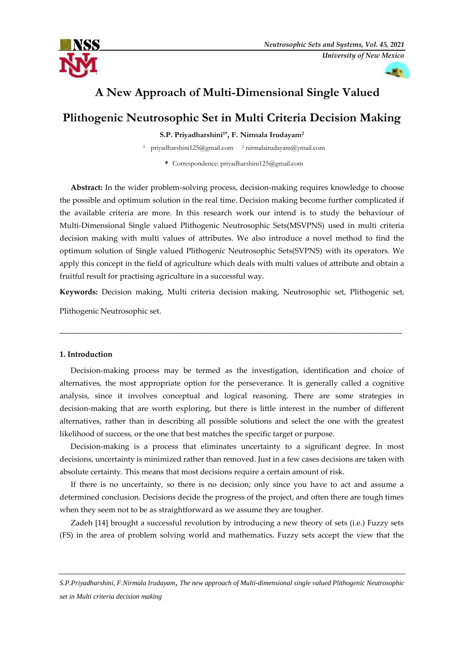

# **A New Approach of Multi-Dimensional Single Valued**

# **Plithogenic Neutrosophic Set in Multi Criteria Decision Making**

**S.P. Priyadharshini1\* , F. Nirmala Irudayam<sup>2</sup>**

<sup>1</sup> [priyadharshini125@gmail.com](mailto:priyadharshini125@gmail.com)  <sup>2</sup> nirmalairudayam@ymail.com

**\*** Correspondence: priyadharshini125@gmail.com

**Abstract:** In the wider problem-solving process, decision-making requires knowledge to choose the possible and optimum solution in the real time. Decision making become further complicated if the available criteria are more. In this research work our intend is to study the behaviour of Multi-Dimensional Single valued Plithogenic Neutrosophic Sets(MSVPNS) used in multi criteria decision making with multi values of attributes. We also introduce a novel method to find the optimum solution of Single valued Plithogenic Neutrosophic Sets(SVPNS) with its operators. We apply this concept in the field of agriculture which deals with multi values of attribute and obtain a fruitful result for practising agriculture in a successful way.

**Keywords:** Decision making, Multi criteria decision making, Neutrosophic set, Plithogenic set,

\_\_\_\_\_\_\_\_\_\_\_\_\_\_\_\_\_\_\_\_\_\_\_\_\_\_\_\_\_\_\_\_\_\_\_\_\_\_\_\_\_\_\_\_\_\_\_\_\_\_\_\_\_\_\_\_\_\_\_\_\_\_\_\_\_\_\_\_\_\_\_\_\_\_\_\_\_\_\_\_\_\_\_\_\_\_\_\_

Plithogenic Neutrosophic set.

# **1. Introduction**

Decision-making process may be termed as the investigation, identification and choice of alternatives, the most appropriate option for the perseverance. It is generally called a cognitive analysis, since it involves conceptual and logical reasoning. There are some strategies in decision-making that are worth exploring, but there is little interest in the number of different alternatives, rather than in describing all possible solutions and select the one with the greatest likelihood of success, or the one that best matches the specific target or purpose.

Decision-making is a process that eliminates uncertainty to a significant degree. In most decisions, uncertainty is minimized rather than removed. Just in a few cases decisions are taken with absolute certainty. This means that most decisions require a certain amount of risk.

If there is no uncertainty, so there is no decision; only since you have to act and assume a determined conclusion. Decisions decide the progress of the project, and often there are tough times when they seem not to be as straightforward as we assume they are tougher.

Zadeh [14] brought a successful revolution by introducing a new theory of sets (i.e.) Fuzzy sets (FS) in the area of problem solving world and mathematics. Fuzzy sets accept the view that the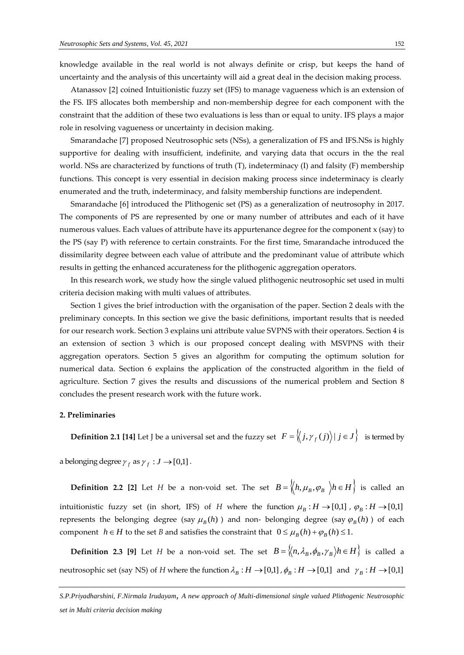knowledge available in the real world is not always definite or crisp, but keeps the hand of uncertainty and the analysis of this uncertainty will aid a great deal in the decision making process.

Atanassov [2] coined Intuitionistic fuzzy set (IFS) to manage vagueness which is an extension of the FS. IFS allocates both membership and non-membership degree for each component with the constraint that the addition of these two evaluations is less than or equal to unity. IFS plays a major role in resolving vagueness or uncertainty in decision making.

Smarandache [7] proposed Neutrosophic sets (NSs), a generalization of FS and IFS.NSs is highly supportive for dealing with insufficient, indefinite, and varying data that occurs in the the real world. NSs are characterized by functions of truth (T), indeterminacy (I) and falsity (F) membership functions. This concept is very essential in decision making process since indeterminacy is clearly enumerated and the truth, indeterminacy, and falsity membership functions are independent.

Smarandache [6] introduced the Plithogenic set (PS) as a generalization of neutrosophy in 2017. The components of PS are represented by one or many number of attributes and each of it have numerous values. Each values of attribute have its appurtenance degree for the component x (say) to the PS (say P) with reference to certain constraints. For the first time, Smarandache introduced the dissimilarity degree between each value of attribute and the predominant value of attribute which results in getting the enhanced accurateness for the plithogenic aggregation operators.

In this research work, we study how the single valued plithogenic neutrosophic set used in multi criteria decision making with multi values of attributes.

Section 1 gives the brief introduction with the organisation of the paper. Section 2 deals with the preliminary concepts. In this section we give the basic definitions, important results that is needed for our research work. Section 3 explains uni attribute value SVPNS with their operators. Section 4 is an extension of section 3 which is our proposed concept dealing with MSVPNS with their aggregation operators. Section 5 gives an algorithm for computing the optimum solution for numerical data. Section 6 explains the application of the constructed algorithm in the field of agriculture. Section 7 gives the results and discussions of the numerical problem and Section 8 concludes the present research work with the future work.

# **2. Preliminaries**

**Definition 2.1** [14] Let J be a universal set and the fuzzy set  $F = \langle j, \gamma_f(j) \rangle | j \in J \}$  is termed by

a belonging degree  $\gamma_f$  as  $\gamma_f : J \rightarrow [0,1]$ .

**Definition 2.2** [2] Let *H* be a non-void set. The set  $B = \langle h, \mu_B, \varphi_B \rangle h \in H$  is called an intuitionistic fuzzy set (in short, IFS) of *H* where the function  $\mu_B : H \to [0,1]$  ,  $\varphi_B : H \to [0,1]$ represents the belonging degree (say  $\mu_B(h)$ ) and non- belonging degree (say  $\varphi_B(h)$ ) of each component  $h \in H$  to the set *B* and satisfies the constraint that  $0 \leq \mu_B(h) + \varphi_B(h) \leq 1$ .

**Definition 2.3 [9]** Let *H* be a non-void set. The set  $B = \{(n, \lambda_B, \phi_B, \gamma_B) | h \in H \}$  is called a neutrosophic set (say NS) of *H* where the function  $\lambda_B : H \to [0,1]$  ,  $\phi_B : H \to [0,1]$  and  $\gamma_B : H \to [0,1]$ 

*S.P.Priyadharshini, F.Nirmala Irudayam, A new approach of Multi-dimensional single valued Plithogenic Neutrosophic set in Multi criteria decision making*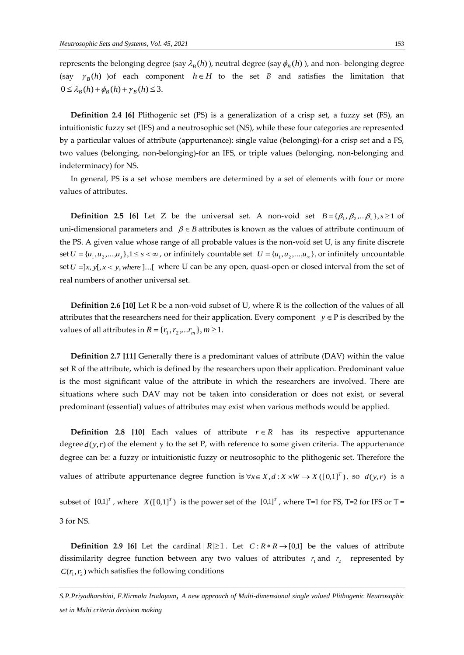represents the belonging degree (say  $\lambda_B(h)$ ), neutral degree (say  $\phi_B(h)$ ), and non-belonging degree (say  $\gamma_B(h)$  ) of each component  $h \in H$  to the set *B* and satisfies the limitation that  $0 \leq \lambda_B(h) + \phi_B(h) + \gamma_B(h) \leq 3.$ 

**Definition 2.4 [6]** Plithogenic set (PS) is a generalization of a crisp set, a fuzzy set (FS), an intuitionistic fuzzy set (IFS) and a neutrosophic set (NS), while these four categories are represented by a particular values of attribute (appurtenance): single value (belonging)-for a crisp set and a FS, two values (belonging, non-belonging)-for an IFS, or triple values (belonging, non-belonging and indeterminacy) for NS.

In general, PS is a set whose members are determined by a set of elements with four or more values of attributes.

**Definition 2.5 [6]** Let Z be the universal set. A non-void set  $B = \{\beta_1, \beta_2, \dots, \beta_s\}, s \ge 1$  of uni-dimensional parameters and  $\beta \in B$  attributes is known as the values of attribute continuum of the PS. A given value whose range of all probable values is the non-void set U, is any finite discrete set  $U = {u_1, u_2, ..., u_s}$ ,  $1 \le s < \infty$ , or infinitely countable set  $U = {u_1, u_2, ..., u_\infty}$ , or infinitely uncountable set  $U = ]x, y[, x < y, where ]...[$  where U can be any open, quasi-open or closed interval from the set of real numbers of another universal set.

**Definition 2.6 [10]** Let R be a non-void subset of U, where R is the collection of the values of all attributes that the researchers need for their application. Every component  $y \in P$  is described by the values of all attributes in  $R = \{r_1, r_2, ... r_m\}, m \ge 1$ .

**Definition 2.7 [11]** Generally there is a predominant values of attribute (DAV) within the value set R of the attribute, which is defined by the researchers upon their application. Predominant value is the most significant value of the attribute in which the researchers are involved. There are situations where such DAV may not be taken into consideration or does not exist, or several predominant (essential) values of attributes may exist when various methods would be applied.

**Definition 2.8 [10]** Each values of attribute  $r \in R$  has its respective appurtenance degree  $d(y, r)$  of the element y to the set P, with reference to some given criteria. The appurtenance degree can be: a fuzzy or intuitionistic fuzzy or neutrosophic to the plithogenic set. Therefore the values of attribute appurtenance degree function is  $\forall x \in X, d: X \times W \rightarrow X([0,1]^T)$ , so  $d(y,r)$  is a subset of  $[0,1]^T$ , where  $X([0,1]^T)$  is the power set of the  $[0,1]^T$ , where T=1 for FS, T=2 for IFS or T = 3 for NS.

**Definition 2.9** [6] Let the cardinal  $|R \ge 1$ . Let  $C: R * R \rightarrow [0,1]$  be the values of attribute dissimilarity degree function between any two values of attributes  $r_1$  and  $r_2$  represented by  $C(r_1, r_2)$  which satisfies the following conditions

*S.P.Priyadharshini, F.Nirmala Irudayam, A new approach of Multi-dimensional single valued Plithogenic Neutrosophic set in Multi criteria decision making*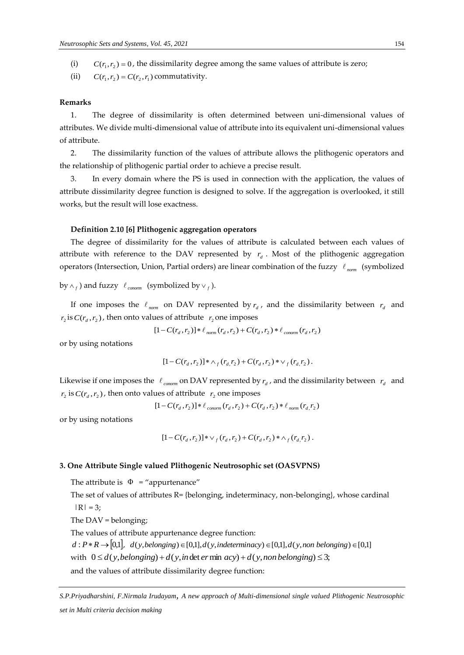(i)  $C(r_1, r_2) = 0$ , the dissimilarity degree among the same values of attribute is zero;

(ii)  $C(r_1, r_2) = C(r_2, r_1)$  commutativity.

#### **Remarks**

1. The degree of dissimilarity is often determined between uni-dimensional values of attributes. We divide multi-dimensional value of attribute into its equivalent uni-dimensional values of attribute.

2. The dissimilarity function of the values of attribute allows the plithogenic operators and the relationship of plithogenic partial order to achieve a precise result.

3. In every domain where the PS is used in connection with the application, the values of attribute dissimilarity degree function is designed to solve. If the aggregation is overlooked, it still works, but the result will lose exactness.

### **Definition 2.10 [6] Plithogenic aggregation operators**

The degree of dissimilarity for the values of attribute is calculated between each values of attribute with reference to the DAV represented by  $r_d$ . Most of the plithogenic aggregation operators (Intersection, Union, Partial orders) are linear combination of the fuzzy  $\;\ell_{\rm\; norm} \;$  (symbolized

by  $\wedge_f$  ) and fuzzy  $\ell_{\mathit{conorm}}$  (symbolized by  $\vee_f$  ).

If one imposes the  $\ell_{norm}$  on DAV represented by  $r_d$ , and the dissimilarity between  $r_d$  and  $r_2$  is  $C(r_d, r_2)$ , then onto values of attribute  $r_2$  one imposes

$$
[1 - C(r_d, r_2)] * \ell_{norm}(r_d, r_2) + C(r_d, r_2) * \ell_{conorm}(r_d, r_2)
$$

or by using notations

$$
[1-C(r_d,r_2)]*\wedge_f(r_d,r_2)+C(r_d,r_2)*\vee_f(r_d,r_2).
$$

Likewise if one imposes the  $\ell_{\text{common}}$  on DAV represented by  $r_d$ , and the dissimilarity between  $r_d$  and  $r_2$  is  $C(r_d, r_2)$ , then onto values of attribute  $r_2$  one imposes

 $[1 - C(r_d, r_2)] * \ell_{\text{conorm}}(r_d, r_2) + C(r_d, r_2) * \ell_{\text{norm}}(r_d, r_2)$ 

or by using notations

$$
[1 - C(r_d, r_2)] * \vee_f (r_d, r_2) + C(r_d, r_2) * \wedge_f (r_d, r_2).
$$

# **3. One Attribute Single valued Plithogenic Neutrosophic set (OASVPNS)**

The attribute is  $\Phi$  = "appurtenance"

The set of values of attributes  $R = \{belonging, indeterminacy, non-belonging\}$ , whose cardinal  $|R| = 3;$ 

The DAV = belonging;

The values of attribute appurtenance degree function:

 $d : P * R \rightarrow [0,1], d(y, belonging) \in [0,1], d(y, modeling) \in [0,1]$ ,  $d(y, independence) \in [0,1], d(y, non belonging) \in [0,1]$ 

with  $0 \le d(y, belonging) + d(y, in det *er* min *acy*) + d(y, non belonging) \le 3;$ 

and the values of attribute dissimilarity degree function:

*S.P.Priyadharshini, F.Nirmala Irudayam, A new approach of Multi-dimensional single valued Plithogenic Neutrosophic set in Multi criteria decision making*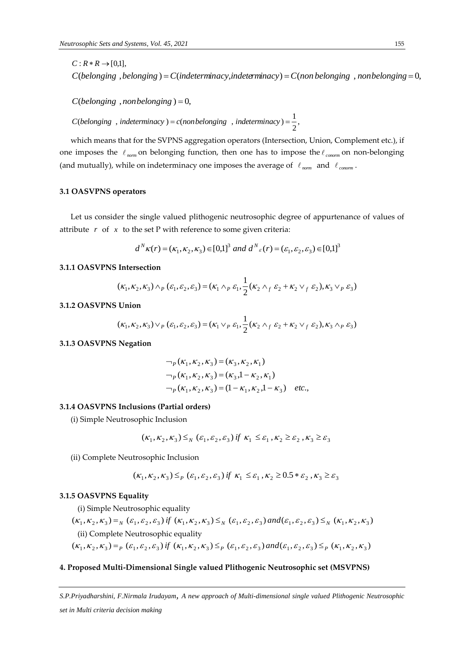*C*(*belonging* , *nonbelonging*  $) = 0$ ,

, 2 *C*(*belonging*, *indeterminacy*) = *c*(*nonbelonging*, *indeterminacy*) =  $\frac{1}{f}$ 

C (belonging , belonging ) = C (indeterminacy indeterminacy) = C (non helonging , nonluelonging = 0)<br>
C (belonging , analyshnging = 0) indeterminacy indeterminacy) = C (non helonging , nonluelonging = 0)<br>
C (belonging , a which means that for the SVPNS aggregation operators (Intersection, Union, Complement etc.), if one imposes the  $\ell_{norm}$  on belonging function, then one has to impose the  $\ell_{common}$  on non-belonging (and mutually), while on indeterminacy one imposes the average of  $\ell_{\text{norm}}$  and  $\ell_{\text{common}}$ .

# **3.1 OASVPNS operators**

Let us consider the single valued plithogenic neutrosophic degree of appurtenance of values of attribute  $r$  of  $x$  to the set P with reference to some given criteria:

$$
d^N \kappa(r) = (\kappa_1, \kappa_2, \kappa_3) \in [0,1]^3
$$
 and  $d^N \varepsilon(r) = (\varepsilon_1, \varepsilon_2, \varepsilon_3) \in [0,1]^3$ 

# **3.1.1 OASVPNS Intersection**

$$
(\kappa_1, \kappa_2, \kappa_3) \wedge_P (\varepsilon_1, \varepsilon_2, \varepsilon_3) = (\kappa_1 \wedge_P \varepsilon_1, \frac{1}{2} (\kappa_2 \wedge_f \varepsilon_2 + \kappa_2 \vee_f \varepsilon_2), \kappa_3 \vee_P \varepsilon_3)
$$

#### **3.1.2 OASVPNS Union**

$$
(\kappa_1, \kappa_2, \kappa_3) \vee_P (\varepsilon_1, \varepsilon_2, \varepsilon_3) = (\kappa_1 \vee_P \varepsilon_1, \frac{1}{2} (\kappa_2 \wedge_f \varepsilon_2 + \kappa_2 \vee_f \varepsilon_2), \kappa_3 \wedge_P \varepsilon_3)
$$

### **3.1.3 OASVPNS Negation**

$$
\neg_p(\kappa_1, \kappa_2, \kappa_3) = (\kappa_3, \kappa_2, \kappa_1)
$$
  
\n
$$
\neg_p(\kappa_1, \kappa_2, \kappa_3) = (\kappa_3, 1 - \kappa_2, \kappa_1)
$$
  
\n
$$
\neg_p(\kappa_1, \kappa_2, \kappa_3) = (1 - \kappa_1, \kappa_2, 1 - \kappa_3) \text{ etc.},
$$

### **3.1.4 OASVPNS Inclusions (Partial orders)**

(i) Simple Neutrosophic Inclusion

$$
(\kappa_1,\kappa_2,\kappa_3) \leq_{\scriptscriptstyle N} (\varepsilon_1,\varepsilon_2,\varepsilon_3) \text{ if } \kappa_1 \leq \varepsilon_1^-, \kappa_2 \geq \varepsilon_2^-, \kappa_3 \geq \varepsilon_3^-,
$$

(ii) Complete Neutrosophic Inclusion

$$
(\kappa_1, \kappa_2, \kappa_3) \leq_P (\varepsilon_1, \varepsilon_2, \varepsilon_3) \text{ if } \kappa_1 \leq \varepsilon_1, \kappa_2 \geq 0.5 * \varepsilon_2, \kappa_3 \geq \varepsilon_3
$$

#### **3.1.5 OASVPNS Equality**

(i) Simple Neutrosophic equality

$$
(\kappa_1, \kappa_2, \kappa_3) =_N (\varepsilon_1, \varepsilon_2, \varepsilon_3) \text{ if } (\kappa_1, \kappa_2, \kappa_3) \leq_N (\varepsilon_1, \varepsilon_2, \varepsilon_3) \text{ and } (\varepsilon_1, \varepsilon_2, \varepsilon_3) \leq_N (\kappa_1, \kappa_2, \kappa_3)
$$
  
(ii) Complete Neutrosophic equality

 $(K_1, K_2, K_3) =_P ( \varepsilon_1, \varepsilon_2, \varepsilon_3) \text{ if } (K_1, K_2, K_3) \leq_P ( \varepsilon_1, \varepsilon_2, \varepsilon_3) \text{ and } (\varepsilon_1, \varepsilon_2, \varepsilon_3) \leq_P (K_1, K_2, K_3)$ 

#### **4. Proposed Multi-Dimensional Single valued Plithogenic Neutrosophic set (MSVPNS)**

*S.P.Priyadharshini, F.Nirmala Irudayam, A new approach of Multi-dimensional single valued Plithogenic Neutrosophic*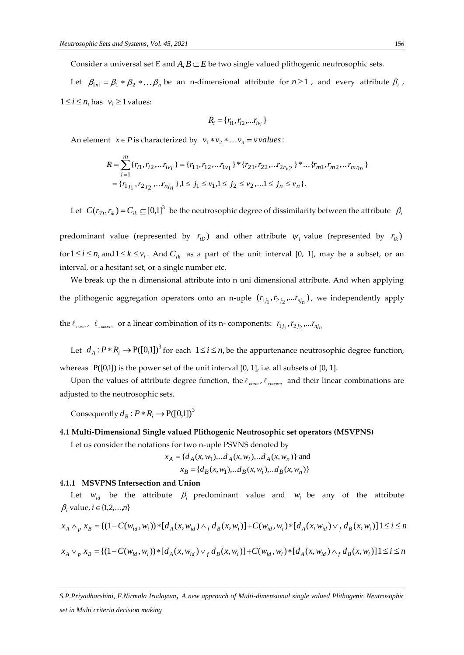Consider a universal set E and  $A, B \subset E$  be two single valued plithogenic neutrosophic sets.

Let  $\beta_{[n]} = \beta_1 * \beta_2 * ... \beta_n$  be an n-dimensional attribute for  $n \ge 1$ , and every attribute  $\beta_i$ ,  $1 \le i \le n$ , has  $v_i \ge 1$  values:

$$
R_i = \{r_{i1}, r_{i2}, \dots r_{iv_i}\}
$$

An element  $x \in P$  is characterized by  $v_1 * v_2 * \dots v_n = v \, values$ :

$$
R = \sum_{i=1}^{m} \{r_{i1}, r_{i2}, \ldots r_{iv_i}\} = \{r_{11}, r_{12}, \ldots r_{1v_1}\} * \{r_{21}, r_{22}, \ldots r_{2r_{v2}}\} * \ldots \{r_{m1}, r_{m2}, \ldots r_{mr_m}\}\
$$

$$
= \{r_{1j_1}, r_{2j_2}, \ldots r_{nj_n}\}, 1 \le j_1 \le v_1, 1 \le j_2 \le v_2, \ldots 1 \le j_n \le v_n\}.
$$

Let  $C(r_{iD}, r_{ik}) = C_{ik} \subseteq [0,1]^3$  be the neutrosophic degree of dissimilarity between the attribute  $\beta_i$ 

predominant value (represented by  $r_{iD}$ ) and other attribute  $\psi_i$  value (represented by  $r_{i,k}$ ) for  $1 \le i \le n$ , and  $1 \le k \le v_i$ . And  $C_{ik}$  as a part of the unit interval [0, 1], may be a subset, or an interval, or a hesitant set, or a single number etc.

We break up the n dimensional attribute into n uni dimensional attribute. And when applying the plithogenic aggregation operators onto an n-uple  $(r_{1j_1}, r_{2j_2},...r_{nj_n})$ , we independently apply

the  $\ell_{norm}$ ,  $\ell_{common}$  or a linear combination of its n-components:  $r_{1j_1}, r_{2j_2},...r_{nj_n}$ 

Let  $d_A: P^*R_i \to P([0,1])^3$  for each  $1 \le i \le n$ , be the appurtenance neutrosophic degree function,

whereas  $P([0,1])$  is the power set of the unit interval [0, 1], i.e. all subsets of [0, 1].

Upon the values of attribute degree function, the  $\ell_{\text{norm}}$ ,  $\ell_{\text{common}}$  and their linear combinations are adjusted to the neutrosophic sets.

Consequently  $d_B : P * R_i \to P([0,1])^3$ 

# **4.1 Multi-Dimensional Single valued Plithogenic Neutrosophic set operators (MSVPNS)**

Let us consider the notations for two n-uple PSVNS denoted by

$$
x_A = \{d_A(x, w_1), \dots d_A(x, w_i), \dots d_A(x, w_n)\}
$$
 and  

$$
x_B = \{d_B(x, w_1), \dots d_B(x, w_i), \dots d_B(x, w_n)\}
$$

#### **4.1.1 MSVPNS Intersection and Union**

Let  $w_{id}$  be the attribute  $\beta_i$  predominant value and  $w_i$  be any of the attribute  $\beta_i$  value, *i*  $\in$  {1,2,...,*n*}

$$
x_A \wedge_p x_B = \{ (1 - C(w_{id}, w_i)) * [d_A(x, w_{id}) \wedge_f d_B(x, w_i)] + C(w_{id}, w_i) * [d_A(x, w_{id}) \vee_f d_B(x, w_i)] \} \le i \le n
$$
  

$$
x_A \vee_p x_B = \{ (1 - C(w_{id}, w_i)) * [d_A(x, w_{id}) \vee_f d_B(x, w_i)] + C(w_{id}, w_i) * [d_A(x, w_{id}) \wedge_f d_B(x, w_i)] \} \le i \le n
$$

*S.P.Priyadharshini, F.Nirmala Irudayam, A new approach of Multi-dimensional single valued Plithogenic Neutrosophic set in Multi criteria decision making*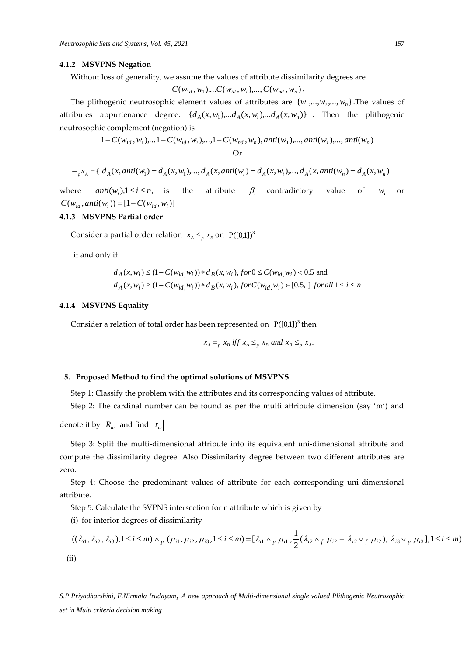### **4.1.2 MSVPNS Negation**

Without loss of generality, we assume the values of attribute dissimilarity degrees are

$$
C(w_{1d}, w_1)
$$
,... $C(w_{id}, w_i)$ ,..., $C(w_{nd}, w_n)$ .

The plithogenic neutrosophic element values of attributes are  $\{w_1, \ldots, w_i, \ldots, w_n\}$ . The values of attributes appurtenance degree:  $\{d_A(x, w_1), ... d_A(x, w_i), ... d_A(x, w_n)\}$ . Then the plithogenic neutrosophic complement (negation) is

$$
1 - C(w_{1d}, w_1), \dots 1 - C(w_{id}, w_i), \dots, 1 - C(w_{nd}, w_n), \text{anti}(w_1), \dots, \text{anti}(w_i), \dots, \text{anti}(w_n)
$$
  
Or

$$
\neg_p x_A = \{ d_A(x, anti(w_1) = d_A(x, w_1), ..., d_A(x, anti(w_i) = d_A(x, w_i), ..., d_A(x, anti(w_n) = d_A(x, w_n)) \}
$$

where  $anti(w_i), 1 \leq i \leq n,$ the attribute  $\beta_i$  contradictory value of  $W_i$ or  $C(w_{id}, anti(w_i)) = [1 - C(w_{id}, w_i)]$ 

# **4.1.3 MSVPNS Partial order**

Consider a partial order relation  $x_A \leq_p x_B$  on  $P([0,1])^3$ 

if and only if

$$
d_A(x, w_i) \le (1 - C(w_{id}, w_i)) * d_B(x, w_i), \text{ for } 0 \le C(w_{id}, w_i) < 0.5 \text{ and}
$$
\n
$$
d_A(x, w_i) \ge (1 - C(w_{id}, w_i)) * d_B(x, w_i), \text{ for } C(w_{id}, w_i) \in [0.5, 1] \text{ for all } 1 \le i \le n
$$

#### **4.1.4 MSVPNS Equality**

Consider a relation of total order has been represented on  $P([0,1])^3$  then

$$
x_A =_p x_B
$$
 iff  $x_A \leq_p x_B$  and  $x_B \leq_p x_A$ .

#### **5. Proposed Method to find the optimal solutions of MSVPNS**

Step 1: Classify the problem with the attributes and its corresponding values of attribute.

Step 2: The cardinal number can be found as per the multi attribute dimension (say 'm') and

denote it by  $R_m$  and find  $r_m$ 

Step 3: Split the multi-dimensional attribute into its equivalent uni-dimensional attribute and compute the dissimilarity degree. Also Dissimilarity degree between two different attributes are zero.

Step 4: Choose the predominant values of attribute for each corresponding uni-dimensional attribute.

Step 5: Calculate the SVPNS intersection for n attribute which is given by

(i) for interior degrees of dissimilarity

$$
((\lambda_{i1}, \lambda_{i2}, \lambda_{i3}), 1 \le i \le m) \wedge_p (\mu_{i1}, \mu_{i2}, \mu_{i3}, 1 \le i \le m) = [\lambda_{i1} \wedge_p \mu_{i1}, \frac{1}{2} (\lambda_{i2} \wedge_f \mu_{i2} + \lambda_{i2} \vee_f \mu_{i2}), \lambda_{i3} \vee_p \mu_{i3}], 1 \le i \le m)
$$
\n(ii)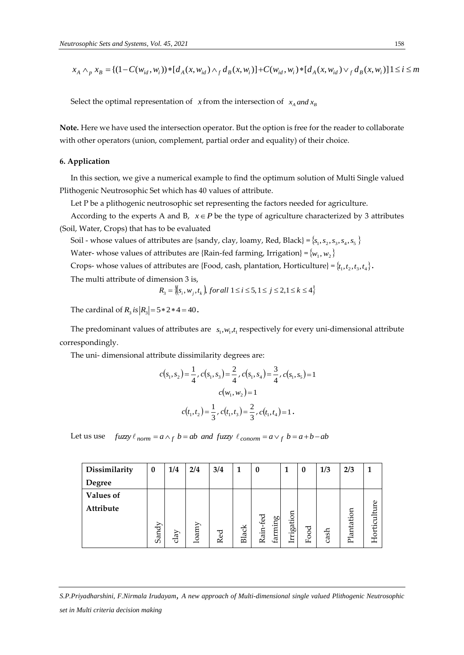$x_A \wedge_p x_B = \{(1 - C(w_{id}, w_i)) * [d_A(x, w_{id}) \wedge_f d_B(x, w_i)] + C(w_{id}, w_i) * [d_A(x, w_{id}) \vee_f d_B(x, w_i)]\} \leq i \leq m$ 

Select the optimal representation of  $x$  from the intersection of  $x_A$  *and*  $x_B$ 

**Note.** Here we have used the intersection operator. But the option is free for the reader to collaborate with other operators (union, complement, partial order and equality) of their choice.

# **6. Application**

In this section, we give a numerical example to find the optimum solution of Multi Single valued Plithogenic Neutrosophic Set which has 40 values of attribute.

Let P be a plithogenic neutrosophic set representing the factors needed for agriculture.

According to the experts A and B,  $x \in P$  be the type of agriculture characterized by 3 attributes (Soil, Water, Crops) that has to be evaluated

Soil - whose values of attributes are {sandy, clay, loamy, Red, Black} = { $s_1, s_2, s_3, s_4, s_5$ }

Water- whose values of attributes are {Rain-fed farming, Irrigation} =  $\{w_1, w_2\}$ 

Crops- whose values of attributes are {Food, cash, plantation, Horticulture} =  $\{t_1, t_2, t_3, t_4\}$ .

The multi attribute of dimension 3 is,

$$
R_3 = \{(s_i, w_j, t_k) \text{ for all } 1 \le i \le 5, 1 \le j \le 2, 1 \le k \le 4\}
$$

The cardinal of  $R_3$  *is*  $|R_3| = 5 * 2 * 4 = 40$ .

The predominant values of attributes are  $s_1, w_1, t_1$  respectively for every uni-dimensional attribute correspondingly.

The uni- dimensional attribute dissimilarity degrees are:

$$
c(s_1, s_2) = \frac{1}{4}, c(s_1, s_3) = \frac{2}{4}, c(s_1, s_4) = \frac{3}{4}, c(s_1, s_5) = 1
$$

$$
c(w_1, w_2) = 1
$$

$$
c(t_1, t_2) = \frac{1}{3}, c(t_1, t_3) = \frac{2}{3}, c(t_1, t_4) = 1.
$$

Let us use  $\int \int f u z y \, dx = a \wedge f b = ab$  *and*  $\int f u z y \, dx = a \vee f b = a + b - ab$ 

| Dissimilarity    | $\bf{0}$ | 1/4         | 2/4   | 3/4 |              | $\bf{0}$                     |            | 0    | 1/3  | 2/3        |              |
|------------------|----------|-------------|-------|-----|--------------|------------------------------|------------|------|------|------------|--------------|
| Degree           |          |             |       |     |              |                              |            |      |      |            |              |
| <b>Values of</b> |          |             |       |     |              |                              |            |      |      |            |              |
| Attribute        |          |             |       |     |              |                              |            |      |      |            |              |
|                  |          |             |       |     |              |                              |            |      |      |            |              |
|                  | Sandy    | $\rm{clay}$ | loamy | Red | <b>Black</b> | Rain-fed<br>$faming{arming}$ | Irrigation | Food | cash | Plantation | Horticulture |
|                  |          |             |       |     |              |                              |            |      |      |            |              |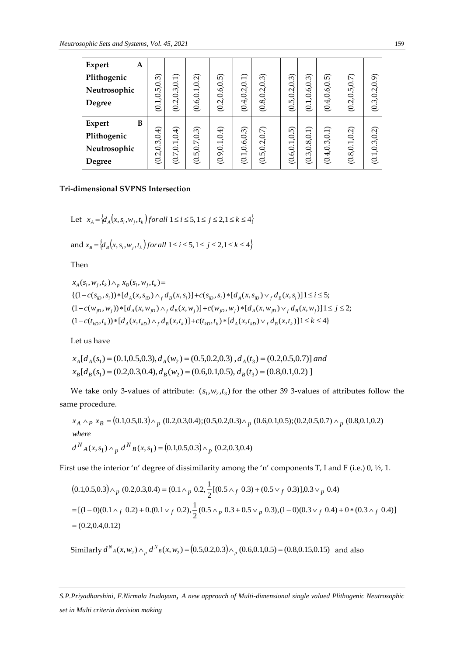| <b>Expert</b><br>A |            |                                 |                 |                 |                 |                 |            |               |               |                 |                           |
|--------------------|------------|---------------------------------|-----------------|-----------------|-----------------|-----------------|------------|---------------|---------------|-----------------|---------------------------|
| Plithogenic        |            | .3, 0.1)                        |                 |                 |                 |                 | 6          | 6             | iù            |                 | (6.0, 0.                  |
| Neutrosophic       | (6.5, 0.3) |                                 |                 |                 |                 |                 | 5,0.2,0.   |               |               |                 | $\mathcal{C}$             |
| Degree             | (0.1)      | (0.2, 0.                        | (0.6, 0.1, 0.2) | (0.2, 0.6, 0.5) | (0.4, 0.2, 0.1) | (0.8, 0.2, 0.3) | હં         | (0.1, 0.6, 0. | (0.4, 0.6, 0. | (0.2, 0.5, 0.7) | 3,0<br>$\circ$            |
|                    |            |                                 |                 |                 |                 |                 |            |               |               |                 |                           |
| B<br>Expert        |            |                                 |                 |                 |                 |                 |            |               |               |                 |                           |
| Plithogenic        | .3, 0.4)   | $\overline{4}$<br>$\frac{1}{2}$ | $\omega$        | (0.9, 0.1, 0.4) | (0.1, 0.6, 0.3) | 5,0.2,0.7       | نع<br>Q    | .3, 0.8, 0.1) | $\ominus$     | (0.8, 0.1, 0.2) | $\widehat{\Omega}$<br>3,0 |
| Neutrosophic       | 2,0        | 7,0.                            | .5, 0.7, 0.     |                 |                 |                 | (0.6, 0.1) |               | .4, 0.3, 0    |                 | Q<br>$\overline{ }$       |
| Degree             | ల          | $\circ$                         | $\circ$         |                 |                 | $\in$           |            | ల             | $\circ$       |                 | $\circ$                   |

# **Tri-dimensional SVPNS Intersection**

Let 
$$
x_A = \{d_A(x, s_i, w_j, t_k)\}
$$
 for all  $1 \le i \le 5, 1 \le j \le 2, 1 \le k \le 4\}$ 

and  $x_B = \{d_B(x, s_i, w_j, t_k) \}$  *for all*  $1 \le i \le 5, 1 \le j \le 2, 1 \le k \le 4\}$ 

Then

$$
x_A(s_i, w_j, t_k) \wedge_p x_B(s_i, w_j, t_k) =
$$
  
{ $(1 - c(s_{iD}, s_i)) * [d_A(x, s_{iD}) \wedge_f d_B(x, s_i)] + c(s_{iD}, s_i) * [d_A(x, s_{iD}) \vee_f d_B(x, s_i)] \le i \le 5;$   
 $(1 - c(w_{jD}, w_j)) * [d_A(x, w_{jD}) \wedge_f d_B(x, w_j)] + c(w_{jD}, w_j) * [d_A(x, w_{jD}) \vee_f d_B(x, w_j)] \le j \le 2;$   
 $(1 - c(t_{kD}, t_k)) * [d_A(x, t_{kD}) \wedge_f d_B(x, t_k)] + c(t_{kD}, t_k) * [d_A(x, t_{kD}) \vee_f d_B(x, t_k)] \le k \le 4$ }

Let us have

$$
x_A[d_A(s_1) = (0.1, 0.5, 0.3), d_A(w_2) = (0.5, 0.2, 0.3), d_A(t_3) = (0.2, 0.5, 0.7)]
$$
 and  

$$
x_B[d_B(s_1) = (0.2, 0.3, 0.4), d_B(w_2) = (0.6, 0.1, 0.5), d_B(t_3) = (0.8, 0.1, 0.2)
$$

We take only 3-values of attribute:  $(s_1, w_2, t_3)$  for the other 39 3-values of attributes follow the same procedure.

$$
x_A \wedge_P x_B = (0.1, 0.5, 0.3) \wedge_P (0.2, 0.3, 0.4); (0.5, 0.2, 0.3) \wedge_P (0.6, 0.1, 0.5); (0.2, 0.5, 0.7) \wedge_P (0.8, 0.1, 0.2)
$$
  
where  

$$
d^N{}_A(x, s_1) \wedge_P d^N{}_B(x, s_1) = (0.1, 0.5, 0.3) \wedge_P (0.2, 0.3, 0.4)
$$

First use the interior 'n' degree of dissimilarity among the 'n' components T, I and F (i.e.)  $0,$  ½, 1.

st use the interior 'n' degree of dissimilarity among the 'n' components T, I and F (i.e.) 0, ½, 1.  
\n
$$
(0.1, 0.5, 0.3) \wedge_p (0.2, 0.3, 0.4) = (0.1 \wedge_p 0.2, \frac{1}{2} [(0.5 \wedge_f 0.3) + (0.5 \vee_f 0.3)], 0.3 \vee_p 0.4)
$$
\n
$$
= [(1-0)(0.1 \wedge_f 0.2) + 0.0(0.1 \vee_f 0.2), \frac{1}{2} (0.5 \wedge_p 0.3 + 0.5 \vee_p 0.3), (1-0)(0.3 \vee_f 0.4) + 0 * (0.3 \wedge_f 0.4)]
$$
\n
$$
= (0.2, 0.4, 0.12)
$$

Similarly  $d^N{}_A(x, w_2) \wedge_p d^N{}_B(x, w_2) = (0.5, 0.2, 0.3) \wedge_p (0.6, 0.1, 0.5) = (0.8, 0.15, 0.15)$  and also

*S.P.Priyadharshini, F.Nirmala Irudayam, A new approach of Multi-dimensional single valued Plithogenic Neutrosophic set in Multi criteria decision making*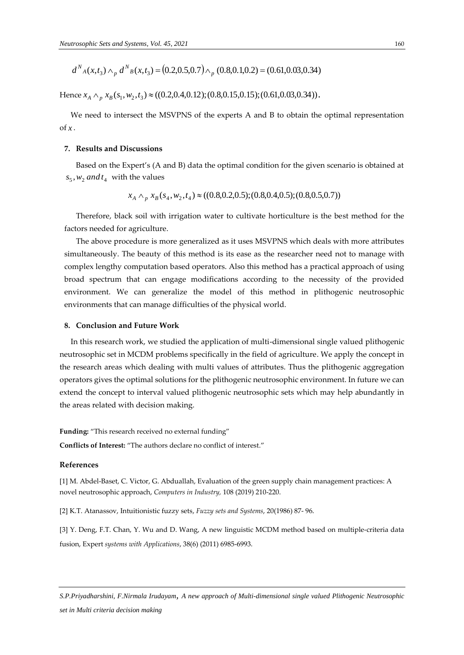$$
d^N{}_A(x,t_3) \wedge_p d^N{}_B(x,t_3) = (0.2,0.5,0.7) \wedge_p (0.8,0.1,0.2) = (0.61,0.03,0.34)
$$

Hence  $x_A \wedge_p x_B(s_1, w_2, t_3) \approx ((0.2, 0.4, 0.12); (0.8, 0.15, 0.15); (0.61, 0.03, 0.34)).$ 

We need to intersect the MSVPNS of the experts A and B to obtain the optimal representation of *x* .

# **7. Results and Discussions**

Based on the Expert's (A and B) data the optimal condition for the given scenario is obtained at  $s_5$ ,  $w_2$  *and*  $t_4$  with the values

$$
x_A \wedge_p x_B(s_4, w_2, t_4) \approx ((0.8, 0.2, 0.5); (0.8, 0.4, 0.5); (0.8, 0.5, 0.7))
$$

Therefore, black soil with irrigation water to cultivate horticulture is the best method for the factors needed for agriculture.

The above procedure is more generalized as it uses MSVPNS which deals with more attributes simultaneously. The beauty of this method is its ease as the researcher need not to manage with complex lengthy computation based operators. Also this method has a practical approach of using broad spectrum that can engage modifications according to the necessity of the provided environment. We can generalize the model of this method in plithogenic neutrosophic environments that can manage difficulties of the physical world.

#### **8. Conclusion and Future Work**

In this research work, we studied the application of multi-dimensional single valued plithogenic neutrosophic set in MCDM problems specifically in the field of agriculture. We apply the concept in the research areas which dealing with multi values of attributes. Thus the plithogenic aggregation operators gives the optimal solutions for the plithogenic neutrosophic environment. In future we can extend the concept to interval valued plithogenic neutrosophic sets which may help abundantly in the areas related with decision making.

**Funding:** "This research received no external funding"

**Conflicts of Interest:** "The authors declare no conflict of interest."

#### **References**

[1] M. Abdel-Baset, C. Victor, G. Abduallah, Evaluation of the green supply chain management practices: A novel neutrosophic approach, *Computers in Industry,* 108 (2019) 210-220.

[2] K.T. Atanassov, Intuitionistic fuzzy sets, *Fuzzy sets and Systems*, 20(1986) 87- 96.

[3] Y. Deng, F.T. Chan, Y. Wu and D. Wang, A new linguistic MCDM method based on multiple-criteria data fusion, Expert *systems with Applications*, 38(6) (2011) 6985-6993.

*S.P.Priyadharshini, F.Nirmala Irudayam, A new approach of Multi-dimensional single valued Plithogenic Neutrosophic set in Multi criteria decision making*